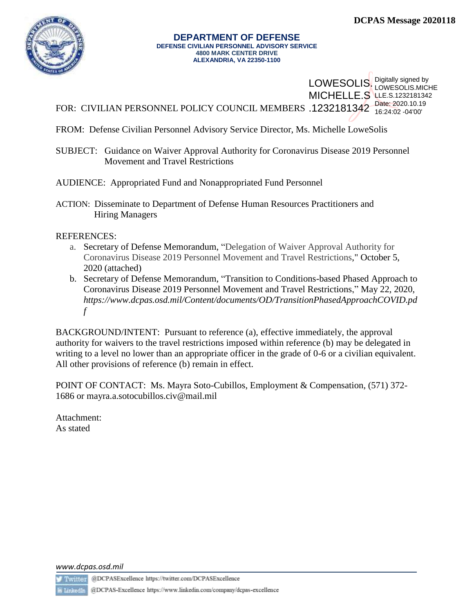

#### **DEPARTMENT OF DEFENSE DEFENSE CIVILIAN PERSONNEL ADVISORY SERVICE 4800 MARK CENTER DRIVE ALEXANDRIA, VA 22350-1100**

FOR: CIVILIAN PERSONNEL POLICY COUNCIL MEMBERS .1232181342 Date: 2020.10.19 LOWESOLIS. Digitally signed by **MICHELLE.S LLE.S.1232181342** LOWESOLIS.MICHE 16:24:02 -04'00'

- FROM: Defense Civilian Personnel Advisory Service Director, Ms. Michelle LoweSolis
- SUBJECT: Guidance on Waiver Approval Authority for Coronavirus Disease 2019 Personnel Movement and Travel Restrictions
- AUDIENCE: Appropriated Fund and Nonappropriated Fund Personnel
- ACTION: Disseminate to Department of Defense Human Resources Practitioners and Hiring Managers

### REFERENCES:

- a. Secretary of Defense Memorandum, "Delegation of Waiver Approval Authority for Coronavirus Disease 2019 Personnel Movement and Travel Restrictions," October 5, 2020 (attached)
- b. Secretary of Defense Memorandum, "Transition to Conditions-based Phased Approach to Coronavirus Disease 2019 Personnel Movement and Travel Restrictions," May 22, 2020, *https://www.dcpas.osd.mil/Content/documents/OD/TransitionPhasedApproachCOVID.pd f*

BACKGROUND/INTENT: Pursuant to reference (a), effective immediately, the approval authority for waivers to the travel restrictions imposed within reference (b) may be delegated in writing to a level no lower than an appropriate officer in the grade of 0-6 or a civilian equivalent. All other provisions of reference (b) remain in effect.

POINT OF CONTACT: Ms. Mayra Soto-Cubillos, Employment & Compensation, (571) 372- 1686 or [mayra.a.sotocubillos.civ@mail.mil](mailto:mayra.a.sotocubillos.civ@mail.mil)

Attachment: As stated

*www.dcpas.osd.mil*